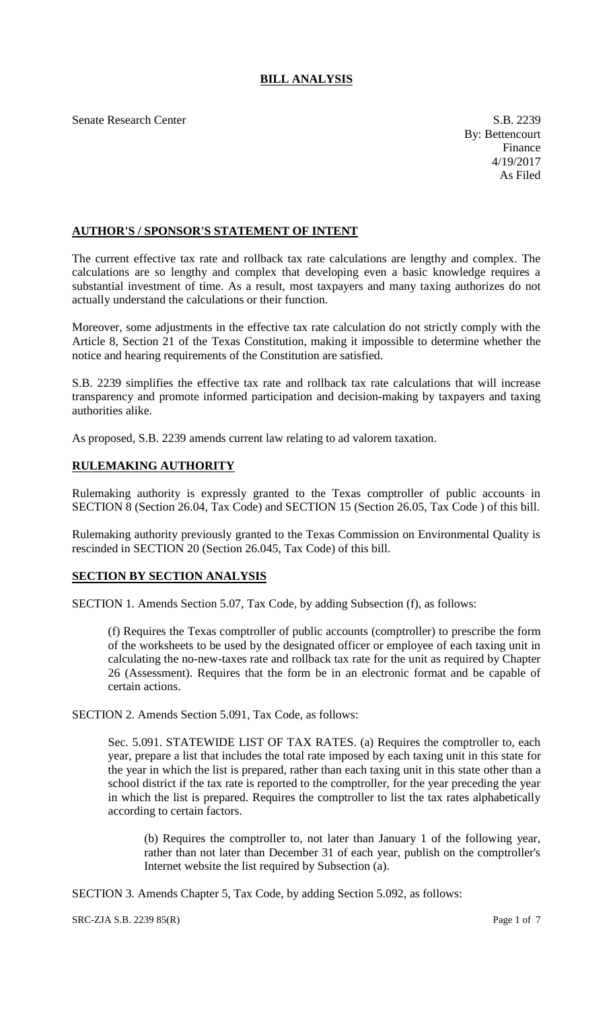# **BILL ANALYSIS**

Senate Research Center S.B. 2239

## **AUTHOR'S / SPONSOR'S STATEMENT OF INTENT**

The current effective tax rate and rollback tax rate calculations are lengthy and complex. The calculations are so lengthy and complex that developing even a basic knowledge requires a substantial investment of time. As a result, most taxpayers and many taxing authorizes do not actually understand the calculations or their function.

Moreover, some adjustments in the effective tax rate calculation do not strictly comply with the Article 8, Section 21 of the Texas Constitution, making it impossible to determine whether the notice and hearing requirements of the Constitution are satisfied.

S.B. 2239 simplifies the effective tax rate and rollback tax rate calculations that will increase transparency and promote informed participation and decision-making by taxpayers and taxing authorities alike.

As proposed, S.B. 2239 amends current law relating to ad valorem taxation.

## **RULEMAKING AUTHORITY**

Rulemaking authority is expressly granted to the Texas comptroller of public accounts in SECTION 8 (Section 26.04, Tax Code) and SECTION 15 (Section 26.05, Tax Code ) of this bill.

Rulemaking authority previously granted to the Texas Commission on Environmental Quality is rescinded in SECTION 20 (Section 26.045, Tax Code) of this bill.

## **SECTION BY SECTION ANALYSIS**

SECTION 1. Amends Section 5.07, Tax Code, by adding Subsection (f), as follows:

(f) Requires the Texas comptroller of public accounts (comptroller) to prescribe the form of the worksheets to be used by the designated officer or employee of each taxing unit in calculating the no-new-taxes rate and rollback tax rate for the unit as required by Chapter 26 (Assessment). Requires that the form be in an electronic format and be capable of certain actions.

SECTION 2. Amends Section 5.091, Tax Code, as follows:

Sec. 5.091. STATEWIDE LIST OF TAX RATES. (a) Requires the comptroller to, each year, prepare a list that includes the total rate imposed by each taxing unit in this state for the year in which the list is prepared, rather than each taxing unit in this state other than a school district if the tax rate is reported to the comptroller, for the year preceding the year in which the list is prepared. Requires the comptroller to list the tax rates alphabetically according to certain factors.

(b) Requires the comptroller to, not later than January 1 of the following year, rather than not later than December 31 of each year, publish on the comptroller's Internet website the list required by Subsection (a).

SECTION 3. Amends Chapter 5, Tax Code, by adding Section 5.092, as follows:

 $SRC-ZJA S.B. 2239 85(R)$  Page 1 of 7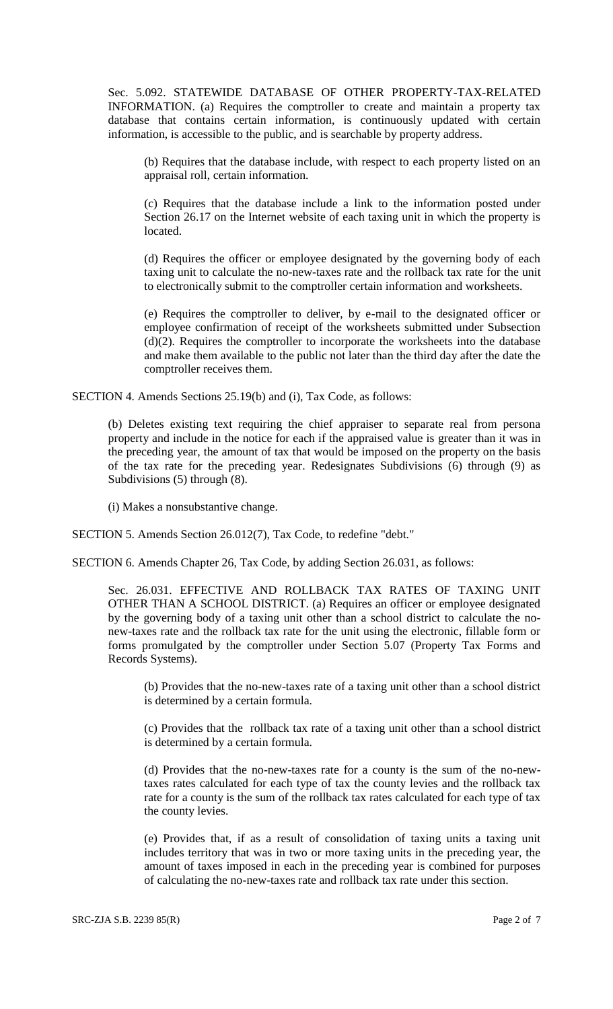Sec. 5.092. STATEWIDE DATABASE OF OTHER PROPERTY-TAX-RELATED INFORMATION. (a) Requires the comptroller to create and maintain a property tax database that contains certain information, is continuously updated with certain information, is accessible to the public, and is searchable by property address.

(b) Requires that the database include, with respect to each property listed on an appraisal roll, certain information.

(c) Requires that the database include a link to the information posted under Section 26.17 on the Internet website of each taxing unit in which the property is located.

(d) Requires the officer or employee designated by the governing body of each taxing unit to calculate the no-new-taxes rate and the rollback tax rate for the unit to electronically submit to the comptroller certain information and worksheets.

(e) Requires the comptroller to deliver, by e-mail to the designated officer or employee confirmation of receipt of the worksheets submitted under Subsection  $(d)(2)$ . Requires the comptroller to incorporate the worksheets into the database and make them available to the public not later than the third day after the date the comptroller receives them.

SECTION 4. Amends Sections 25.19(b) and (i), Tax Code, as follows:

(b) Deletes existing text requiring the chief appraiser to separate real from persona property and include in the notice for each if the appraised value is greater than it was in the preceding year, the amount of tax that would be imposed on the property on the basis of the tax rate for the preceding year. Redesignates Subdivisions (6) through (9) as Subdivisions (5) through (8).

(i) Makes a nonsubstantive change.

SECTION 5. Amends Section 26.012(7), Tax Code, to redefine "debt."

SECTION 6. Amends Chapter 26, Tax Code, by adding Section 26.031, as follows:

Sec. 26.031. EFFECTIVE AND ROLLBACK TAX RATES OF TAXING UNIT OTHER THAN A SCHOOL DISTRICT. (a) Requires an officer or employee designated by the governing body of a taxing unit other than a school district to calculate the nonew-taxes rate and the rollback tax rate for the unit using the electronic, fillable form or forms promulgated by the comptroller under Section 5.07 (Property Tax Forms and Records Systems).

(b) Provides that the no-new-taxes rate of a taxing unit other than a school district is determined by a certain formula.

(c) Provides that the rollback tax rate of a taxing unit other than a school district is determined by a certain formula.

(d) Provides that the no-new-taxes rate for a county is the sum of the no-newtaxes rates calculated for each type of tax the county levies and the rollback tax rate for a county is the sum of the rollback tax rates calculated for each type of tax the county levies.

(e) Provides that, if as a result of consolidation of taxing units a taxing unit includes territory that was in two or more taxing units in the preceding year, the amount of taxes imposed in each in the preceding year is combined for purposes of calculating the no-new-taxes rate and rollback tax rate under this section.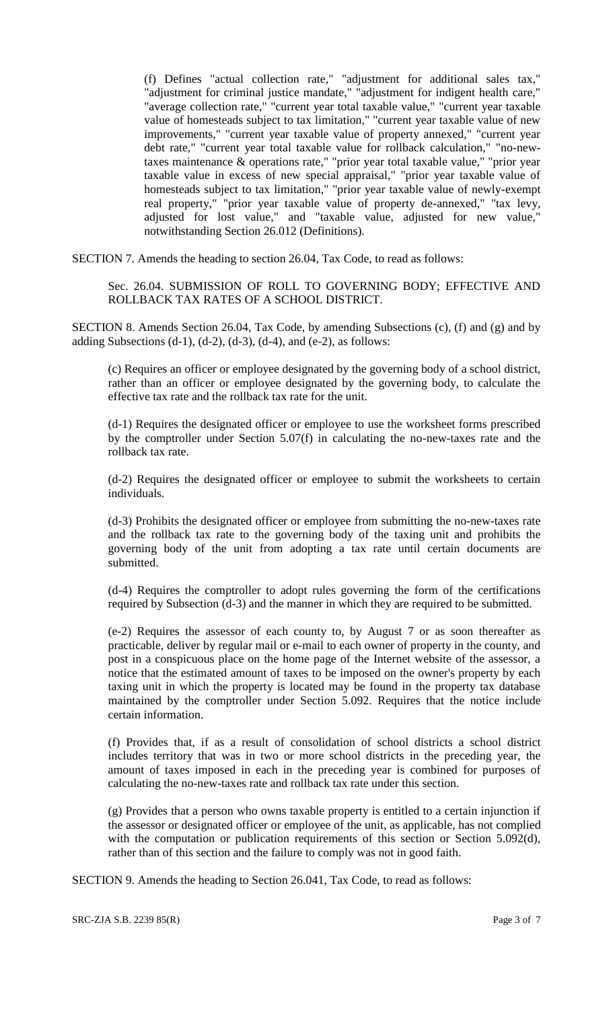(f) Defines "actual collection rate," "adjustment for additional sales tax," "adjustment for criminal justice mandate," "adjustment for indigent health care," "average collection rate," "current year total taxable value," "current year taxable value of homesteads subject to tax limitation," "current year taxable value of new improvements," "current year taxable value of property annexed," "current year debt rate," "current year total taxable value for rollback calculation," "no-newtaxes maintenance & operations rate," "prior year total taxable value," "prior year taxable value in excess of new special appraisal," "prior year taxable value of homesteads subject to tax limitation," "prior year taxable value of newly-exempt real property," "prior year taxable value of property de-annexed," "tax levy, adjusted for lost value," and "taxable value, adjusted for new value," notwithstanding Section 26.012 (Definitions).

SECTION 7. Amends the heading to section 26.04, Tax Code, to read as follows:

Sec. 26.04. SUBMISSION OF ROLL TO GOVERNING BODY; EFFECTIVE AND ROLLBACK TAX RATES OF A SCHOOL DISTRICT.

SECTION 8. Amends Section 26.04, Tax Code, by amending Subsections (c), (f) and (g) and by adding Subsections  $(d-1)$ ,  $(d-2)$ ,  $(d-3)$ ,  $(d-4)$ , and  $(e-2)$ , as follows:

(c) Requires an officer or employee designated by the governing body of a school district, rather than an officer or employee designated by the governing body, to calculate the effective tax rate and the rollback tax rate for the unit.

(d-1) Requires the designated officer or employee to use the worksheet forms prescribed by the comptroller under Section 5.07(f) in calculating the no-new-taxes rate and the rollback tax rate.

(d-2) Requires the designated officer or employee to submit the worksheets to certain individuals.

(d-3) Prohibits the designated officer or employee from submitting the no-new-taxes rate and the rollback tax rate to the governing body of the taxing unit and prohibits the governing body of the unit from adopting a tax rate until certain documents are submitted.

(d-4) Requires the comptroller to adopt rules governing the form of the certifications required by Subsection (d-3) and the manner in which they are required to be submitted.

(e-2) Requires the assessor of each county to, by August 7 or as soon thereafter as practicable, deliver by regular mail or e-mail to each owner of property in the county, and post in a conspicuous place on the home page of the Internet website of the assessor, a notice that the estimated amount of taxes to be imposed on the owner's property by each taxing unit in which the property is located may be found in the property tax database maintained by the comptroller under Section 5.092. Requires that the notice include certain information.

(f) Provides that, if as a result of consolidation of school districts a school district includes territory that was in two or more school districts in the preceding year, the amount of taxes imposed in each in the preceding year is combined for purposes of calculating the no-new-taxes rate and rollback tax rate under this section.

(g) Provides that a person who owns taxable property is entitled to a certain injunction if the assessor or designated officer or employee of the unit, as applicable, has not complied with the computation or publication requirements of this section or Section 5.092(d), rather than of this section and the failure to comply was not in good faith.

SECTION 9. Amends the heading to Section 26.041, Tax Code, to read as follows: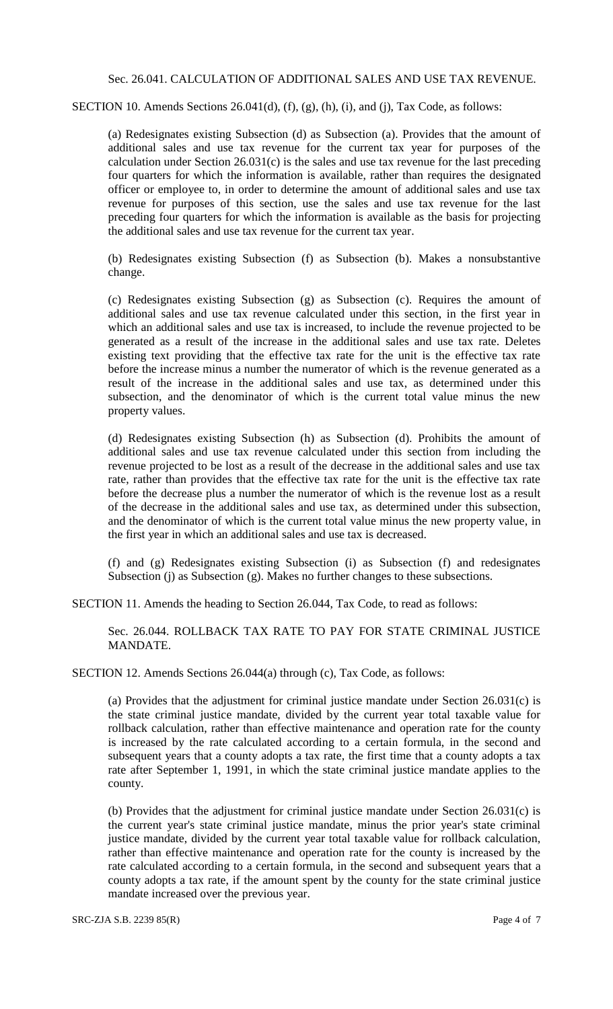Sec. 26.041. CALCULATION OF ADDITIONAL SALES AND USE TAX REVENUE.

SECTION 10. Amends Sections 26.041(d), (f), (g), (h), (i), and (j), Tax Code, as follows:

(a) Redesignates existing Subsection (d) as Subsection (a). Provides that the amount of additional sales and use tax revenue for the current tax year for purposes of the calculation under Section 26.031(c) is the sales and use tax revenue for the last preceding four quarters for which the information is available, rather than requires the designated officer or employee to, in order to determine the amount of additional sales and use tax revenue for purposes of this section, use the sales and use tax revenue for the last preceding four quarters for which the information is available as the basis for projecting the additional sales and use tax revenue for the current tax year.

(b) Redesignates existing Subsection (f) as Subsection (b). Makes a nonsubstantive change.

(c) Redesignates existing Subsection (g) as Subsection (c). Requires the amount of additional sales and use tax revenue calculated under this section, in the first year in which an additional sales and use tax is increased, to include the revenue projected to be generated as a result of the increase in the additional sales and use tax rate. Deletes existing text providing that the effective tax rate for the unit is the effective tax rate before the increase minus a number the numerator of which is the revenue generated as a result of the increase in the additional sales and use tax, as determined under this subsection, and the denominator of which is the current total value minus the new property values.

(d) Redesignates existing Subsection (h) as Subsection (d). Prohibits the amount of additional sales and use tax revenue calculated under this section from including the revenue projected to be lost as a result of the decrease in the additional sales and use tax rate, rather than provides that the effective tax rate for the unit is the effective tax rate before the decrease plus a number the numerator of which is the revenue lost as a result of the decrease in the additional sales and use tax, as determined under this subsection, and the denominator of which is the current total value minus the new property value, in the first year in which an additional sales and use tax is decreased.

(f) and (g) Redesignates existing Subsection (i) as Subsection (f) and redesignates Subsection (j) as Subsection (g). Makes no further changes to these subsections.

SECTION 11. Amends the heading to Section 26.044, Tax Code, to read as follows:

Sec. 26.044. ROLLBACK TAX RATE TO PAY FOR STATE CRIMINAL JUSTICE MANDATE.

SECTION 12. Amends Sections 26.044(a) through (c), Tax Code, as follows:

(a) Provides that the adjustment for criminal justice mandate under Section 26.031(c) is the state criminal justice mandate, divided by the current year total taxable value for rollback calculation, rather than effective maintenance and operation rate for the county is increased by the rate calculated according to a certain formula, in the second and subsequent years that a county adopts a tax rate, the first time that a county adopts a tax rate after September 1, 1991, in which the state criminal justice mandate applies to the county.

(b) Provides that the adjustment for criminal justice mandate under Section 26.031(c) is the current year's state criminal justice mandate, minus the prior year's state criminal justice mandate, divided by the current year total taxable value for rollback calculation, rather than effective maintenance and operation rate for the county is increased by the rate calculated according to a certain formula, in the second and subsequent years that a county adopts a tax rate, if the amount spent by the county for the state criminal justice mandate increased over the previous year.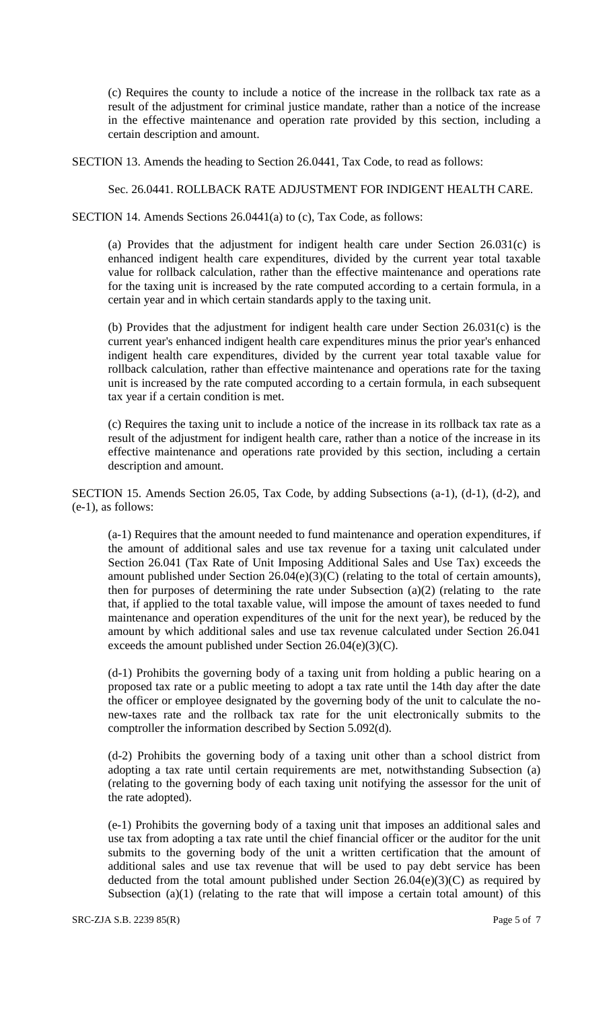(c) Requires the county to include a notice of the increase in the rollback tax rate as a result of the adjustment for criminal justice mandate, rather than a notice of the increase in the effective maintenance and operation rate provided by this section, including a certain description and amount.

SECTION 13. Amends the heading to Section 26.0441, Tax Code, to read as follows:

### Sec. 26.0441. ROLLBACK RATE ADJUSTMENT FOR INDIGENT HEALTH CARE.

SECTION 14. Amends Sections 26.0441(a) to (c), Tax Code, as follows:

(a) Provides that the adjustment for indigent health care under Section 26.031(c) is enhanced indigent health care expenditures, divided by the current year total taxable value for rollback calculation, rather than the effective maintenance and operations rate for the taxing unit is increased by the rate computed according to a certain formula, in a certain year and in which certain standards apply to the taxing unit.

(b) Provides that the adjustment for indigent health care under Section 26.031(c) is the current year's enhanced indigent health care expenditures minus the prior year's enhanced indigent health care expenditures, divided by the current year total taxable value for rollback calculation, rather than effective maintenance and operations rate for the taxing unit is increased by the rate computed according to a certain formula, in each subsequent tax year if a certain condition is met.

(c) Requires the taxing unit to include a notice of the increase in its rollback tax rate as a result of the adjustment for indigent health care, rather than a notice of the increase in its effective maintenance and operations rate provided by this section, including a certain description and amount.

SECTION 15. Amends Section 26.05, Tax Code, by adding Subsections (a-1), (d-1), (d-2), and (e-1), as follows:

(a-1) Requires that the amount needed to fund maintenance and operation expenditures, if the amount of additional sales and use tax revenue for a taxing unit calculated under Section 26.041 (Tax Rate of Unit Imposing Additional Sales and Use Tax) exceeds the amount published under Section 26.04(e)(3)(C) (relating to the total of certain amounts), then for purposes of determining the rate under Subsection (a)(2) (relating to the rate that, if applied to the total taxable value, will impose the amount of taxes needed to fund maintenance and operation expenditures of the unit for the next year), be reduced by the amount by which additional sales and use tax revenue calculated under Section 26.041 exceeds the amount published under Section 26.04(e)(3)(C).

(d-1) Prohibits the governing body of a taxing unit from holding a public hearing on a proposed tax rate or a public meeting to adopt a tax rate until the 14th day after the date the officer or employee designated by the governing body of the unit to calculate the nonew-taxes rate and the rollback tax rate for the unit electronically submits to the comptroller the information described by Section 5.092(d).

(d-2) Prohibits the governing body of a taxing unit other than a school district from adopting a tax rate until certain requirements are met, notwithstanding Subsection (a) (relating to the governing body of each taxing unit notifying the assessor for the unit of the rate adopted).

(e-1) Prohibits the governing body of a taxing unit that imposes an additional sales and use tax from adopting a tax rate until the chief financial officer or the auditor for the unit submits to the governing body of the unit a written certification that the amount of additional sales and use tax revenue that will be used to pay debt service has been deducted from the total amount published under Section 26.04(e)(3)(C) as required by Subsection  $(a)(1)$  (relating to the rate that will impose a certain total amount) of this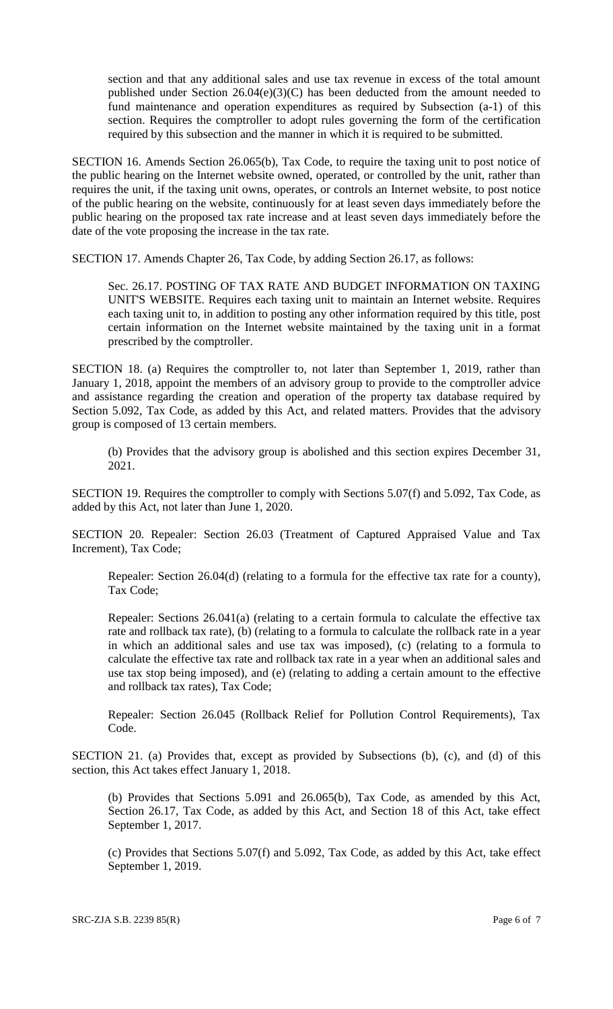section and that any additional sales and use tax revenue in excess of the total amount published under Section 26.04(e)(3)(C) has been deducted from the amount needed to fund maintenance and operation expenditures as required by Subsection (a-1) of this section. Requires the comptroller to adopt rules governing the form of the certification required by this subsection and the manner in which it is required to be submitted.

SECTION 16. Amends Section 26.065(b), Tax Code, to require the taxing unit to post notice of the public hearing on the Internet website owned, operated, or controlled by the unit, rather than requires the unit, if the taxing unit owns, operates, or controls an Internet website, to post notice of the public hearing on the website, continuously for at least seven days immediately before the public hearing on the proposed tax rate increase and at least seven days immediately before the date of the vote proposing the increase in the tax rate.

SECTION 17. Amends Chapter 26, Tax Code, by adding Section 26.17, as follows:

Sec. 26.17. POSTING OF TAX RATE AND BUDGET INFORMATION ON TAXING UNIT'S WEBSITE. Requires each taxing unit to maintain an Internet website. Requires each taxing unit to, in addition to posting any other information required by this title, post certain information on the Internet website maintained by the taxing unit in a format prescribed by the comptroller.

SECTION 18. (a) Requires the comptroller to, not later than September 1, 2019, rather than January 1, 2018, appoint the members of an advisory group to provide to the comptroller advice and assistance regarding the creation and operation of the property tax database required by Section 5.092, Tax Code, as added by this Act, and related matters. Provides that the advisory group is composed of 13 certain members.

(b) Provides that the advisory group is abolished and this section expires December 31, 2021.

SECTION 19. Requires the comptroller to comply with Sections 5.07(f) and 5.092, Tax Code, as added by this Act, not later than June 1, 2020.

SECTION 20. Repealer: Section 26.03 (Treatment of Captured Appraised Value and Tax Increment), Tax Code;

Repealer: Section 26.04(d) (relating to a formula for the effective tax rate for a county), Tax Code;

Repealer: Sections 26.041(a) (relating to a certain formula to calculate the effective tax rate and rollback tax rate), (b) (relating to a formula to calculate the rollback rate in a year in which an additional sales and use tax was imposed), (c) (relating to a formula to calculate the effective tax rate and rollback tax rate in a year when an additional sales and use tax stop being imposed), and (e) (relating to adding a certain amount to the effective and rollback tax rates), Tax Code;

Repealer: Section 26.045 (Rollback Relief for Pollution Control Requirements), Tax Code.

SECTION 21. (a) Provides that, except as provided by Subsections (b), (c), and (d) of this section, this Act takes effect January 1, 2018.

(b) Provides that Sections 5.091 and 26.065(b), Tax Code, as amended by this Act, Section 26.17, Tax Code, as added by this Act, and Section 18 of this Act, take effect September 1, 2017.

(c) Provides that Sections 5.07(f) and 5.092, Tax Code, as added by this Act, take effect September 1, 2019.